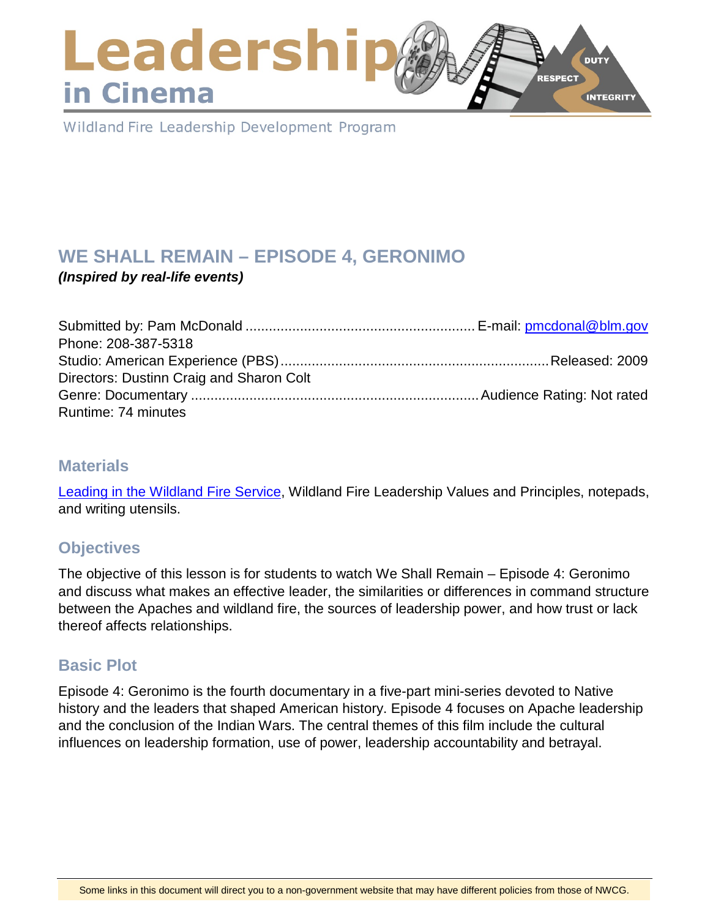### Leadershi **DUTY RESPECT** in Cinema **INTEGRITY**

Wildland Fire Leadership Development Program

# **WE SHALL REMAIN – EPISODE 4, GERONIMO**

*(Inspired by real-life events)*

| Phone: 208-387-5318                      |  |
|------------------------------------------|--|
|                                          |  |
| Directors: Dustinn Craig and Sharon Colt |  |
|                                          |  |
| Runtime: 74 minutes                      |  |

### **Materials**

[Leading in the Wildland Fire Service,](https://www.nwcg.gov/publications/494-2) Wildland Fire Leadership Values and Principles, notepads, and writing utensils.

# **Objectives**

The objective of this lesson is for students to watch We Shall Remain – Episode 4: Geronimo and discuss what makes an effective leader, the similarities or differences in command structure between the Apaches and wildland fire, the sources of leadership power, and how trust or lack thereof affects relationships.

### **Basic Plot**

Episode 4: Geronimo is the fourth documentary in a five-part mini-series devoted to Native history and the leaders that shaped American history. Episode 4 focuses on Apache leadership and the conclusion of the Indian Wars. The central themes of this film include the cultural influences on leadership formation, use of power, leadership accountability and betrayal.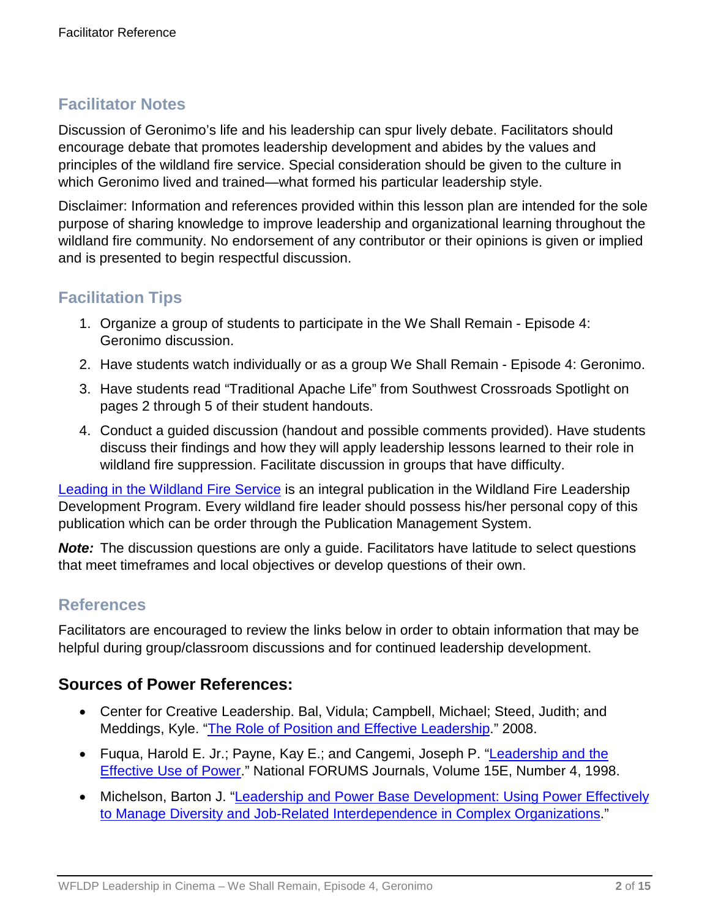### **Facilitator Notes**

Discussion of Geronimo's life and his leadership can spur lively debate. Facilitators should encourage debate that promotes leadership development and abides by the values and principles of the wildland fire service. Special consideration should be given to the culture in which Geronimo lived and trained—what formed his particular leadership style.

Disclaimer: Information and references provided within this lesson plan are intended for the sole purpose of sharing knowledge to improve leadership and organizational learning throughout the wildland fire community. No endorsement of any contributor or their opinions is given or implied and is presented to begin respectful discussion.

### **Facilitation Tips**

- 1. Organize a group of students to participate in the We Shall Remain Episode 4: Geronimo discussion.
- 2. Have students watch individually or as a group We Shall Remain Episode 4: Geronimo.
- 3. Have students read "Traditional Apache Life" from Southwest Crossroads Spotlight on pages 2 through 5 of their student handouts.
- 4. Conduct a guided discussion (handout and possible comments provided). Have students discuss their findings and how they will apply leadership lessons learned to their role in wildland fire suppression. Facilitate discussion in groups that have difficulty.

[Leading in the Wildland Fire Service](https://www.nwcg.gov/publications/494-2) is an integral publication in the Wildland Fire Leadership Development Program. Every wildland fire leader should possess his/her personal copy of this publication which can be order through the Publication Management System.

*Note:* The discussion questions are only a guide. Facilitators have latitude to select questions that meet timeframes and local objectives or develop questions of their own.

### **References**

Facilitators are encouraged to review the links below in order to obtain information that may be helpful during group/classroom discussions and for continued leadership development.

### **Sources of Power References:**

- Center for Creative Leadership. Bal, Vidula; Campbell, Michael; Steed, Judith; and Meddings, Kyle. ["The Role of Position and Effective Leadership.](https://www.ccl.org/wp-content/uploads/2015/04/roleOfPower.pdf)" 2008.
- Fugua, Harold E. Jr.; Payne, Kay E.; and Cangemi, Joseph P. "Leadership and the [Effective Use of Power.](http://www.nationalforum.com/Electronic%20Journal%20Volumes/Fuqua,%20Jr.,%20Harold%20E.%20Leadership%20and%20the%20Effectives%20Use%20of%20Power.pdf)" National FORUMS Journals, Volume 15E, Number 4, 1998.
- Michelson, Barton J. "Leadership and Power Base Development: Using Power Effectively [to Manage Diversity and Job-Related Interdependence in Complex Organizations.](http://www.au.af.mil/au/awc/awcgate/au-24/michelson.pdf)"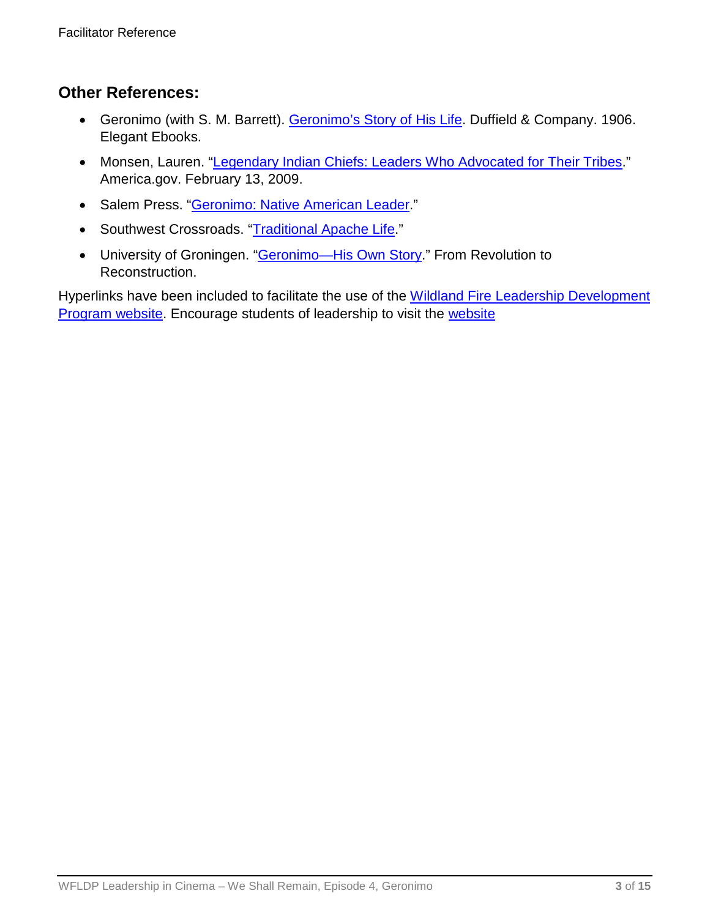### **Other References:**

- Geronimo (with S. M. Barrett). [Geronimo's Story of His Life.](http://www.ibiblio.org/ebooks/Geronimo/GerStory.pdf) Duffield & Company. 1906. Elegant Ebooks.
- Monsen, Lauren. ["Legendary Indian Chiefs: Leaders Who Advocated for Their Tribes.](http://www.manataka.org/page2131.html)" America.gov. February 13, 2009.
- Salem Press. ["Geronimo: Native American Leader.](https://salempress.com/store/pdfs/geronimo.pdf)"
- Southwest Crossroads. "Traditional [Apache Life.](http://southwestcrossroads.org/record.php?num=521)"
- University of Groningen. "**Geronimo-His Own Story**." From Revolution to Reconstruction.

Hyperlinks have been included to facilitate the use of the Wildland Fire Leadership Development [Program website.](https://www.fireleadership.gov/) Encourage students of leadership to visit the [website](https://www.fireleadership.gov/)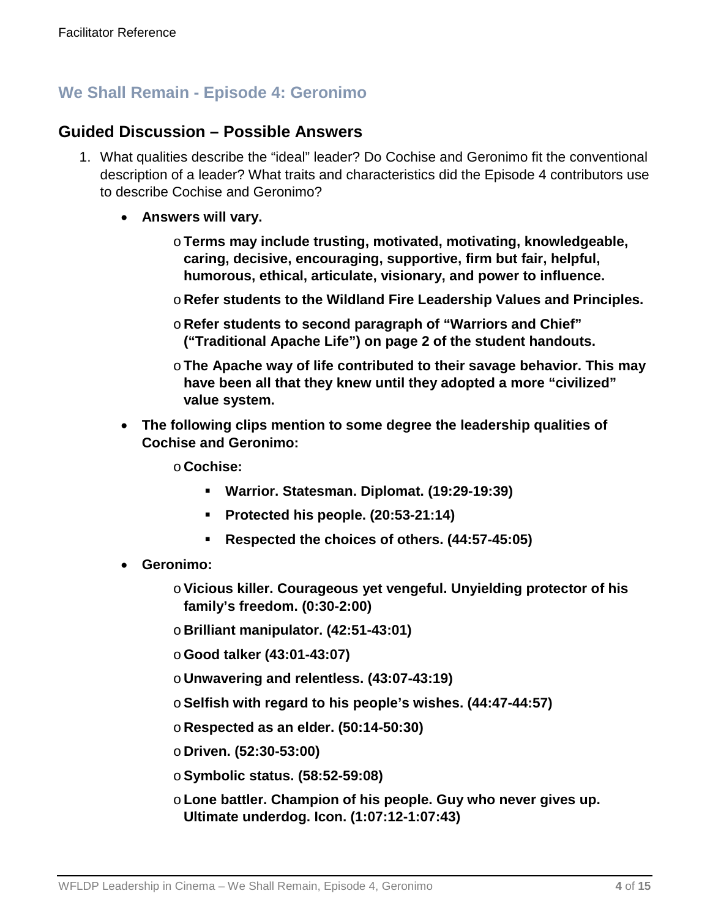### **We Shall Remain - Episode 4: Geronimo**

### **Guided Discussion – Possible Answers**

- 1. What qualities describe the "ideal" leader? Do Cochise and Geronimo fit the conventional description of a leader? What traits and characteristics did the Episode 4 contributors use to describe Cochise and Geronimo?
	- **Answers will vary.**
		- o**Terms may include trusting, motivated, motivating, knowledgeable, caring, decisive, encouraging, supportive, firm but fair, helpful, humorous, ethical, articulate, visionary, and power to influence.**
		- o **Refer students to the Wildland Fire Leadership Values and Principles.**
		- o **Refer students to second paragraph of "Warriors and Chief" ("Traditional Apache Life") on page 2 of the student handouts.**
		- o**The Apache way of life contributed to their savage behavior. This may have been all that they knew until they adopted a more "civilized" value system.**
	- **The following clips mention to some degree the leadership qualities of Cochise and Geronimo:**
		- o **Cochise:**
			- **Warrior. Statesman. Diplomat. (19:29-19:39)**
			- **Protected his people. (20:53-21:14)**
			- **Respected the choices of others. (44:57-45:05)**
	- **Geronimo:**
		- o**Vicious killer. Courageous yet vengeful. Unyielding protector of his family's freedom. (0:30-2:00)**
		- o **Brilliant manipulator. (42:51-43:01)**
		- o**Good talker (43:01-43:07)**
		- o **Unwavering and relentless. (43:07-43:19)**
		- o**Selfish with regard to his people's wishes. (44:47-44:57)**
		- o **Respected as an elder. (50:14-50:30)**
		- o **Driven. (52:30-53:00)**
		- o**Symbolic status. (58:52-59:08)**
		- o**Lone battler. Champion of his people. Guy who never gives up. Ultimate underdog. Icon. (1:07:12-1:07:43)**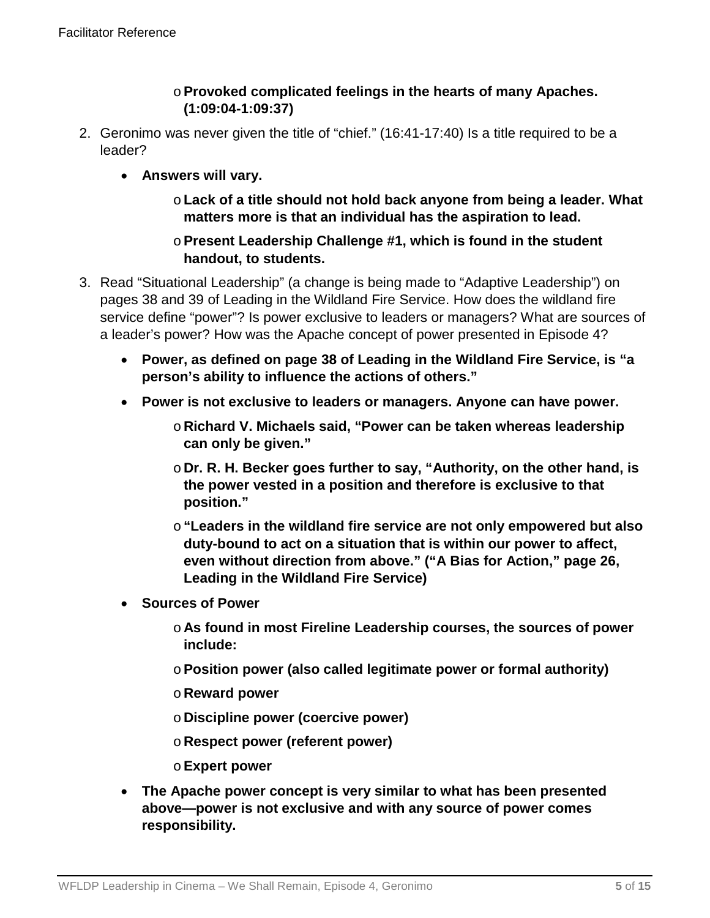### o**Provoked complicated feelings in the hearts of many Apaches. (1:09:04-1:09:37)**

- 2. Geronimo was never given the title of "chief." (16:41-17:40) Is a title required to be a leader?
	- **Answers will vary.** 
		- o**Lack of a title should not hold back anyone from being a leader. What matters more is that an individual has the aspiration to lead.**

### o**Present Leadership Challenge #1, which is found in the student handout, to students.**

- 3. Read "Situational Leadership" (a change is being made to "Adaptive Leadership") on pages 38 and 39 of Leading in the Wildland Fire Service. How does the wildland fire service define "power"? Is power exclusive to leaders or managers? What are sources of a leader's power? How was the Apache concept of power presented in Episode 4?
	- **Power, as defined on page 38 of Leading in the Wildland Fire Service, is "a person's ability to influence the actions of others."**
	- **Power is not exclusive to leaders or managers. Anyone can have power.** 
		- o **Richard V. Michaels said, "Power can be taken whereas leadership can only be given."**
		- o **Dr. R. H. Becker goes further to say, "Authority, on the other hand, is the power vested in a position and therefore is exclusive to that position."**
		- o**"Leaders in the wildland fire service are not only empowered but also duty-bound to act on a situation that is within our power to affect, even without direction from above." ("A Bias for Action," page 26, Leading in the Wildland Fire Service)**
	- **Sources of Power**
		- o **As found in most Fireline Leadership courses, the sources of power include:**
		- o**Position power (also called legitimate power or formal authority)**
		- o **Reward power**
		- o **Discipline power (coercive power)**
		- o **Respect power (referent power)**
		- o**Expert power**
	- **The Apache power concept is very similar to what has been presented above—power is not exclusive and with any source of power comes responsibility.**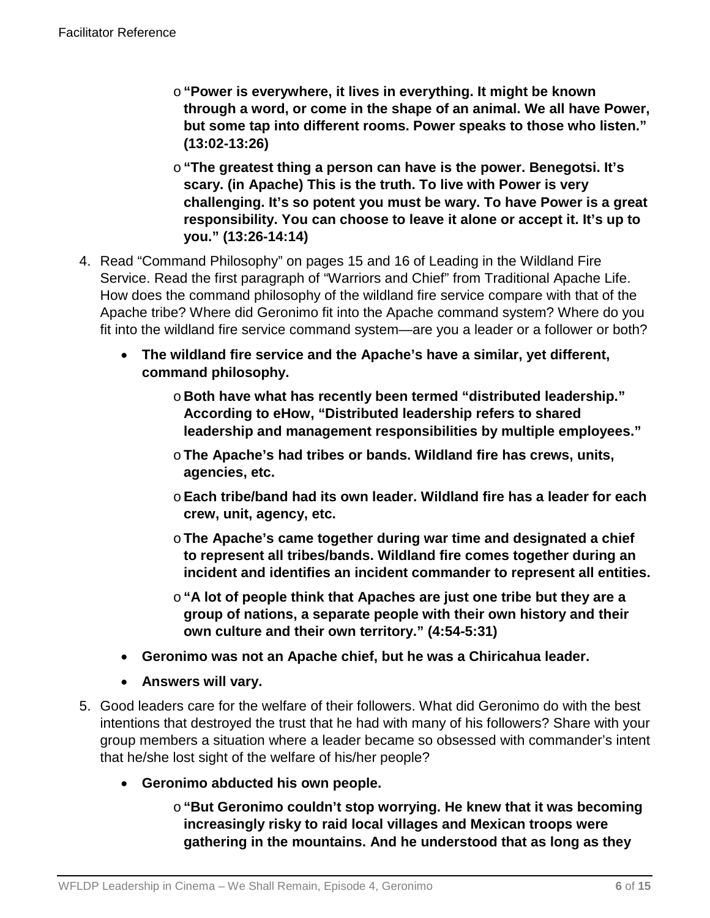- o**"Power is everywhere, it lives in everything. It might be known through a word, or come in the shape of an animal. We all have Power, but some tap into different rooms. Power speaks to those who listen." (13:02-13:26)**
- o**"The greatest thing a person can have is the power. Benegotsi. It's scary. (in Apache) This is the truth. To live with Power is very challenging. It's so potent you must be wary. To have Power is a great responsibility. You can choose to leave it alone or accept it. It's up to you." (13:26-14:14)**
- 4. Read "Command Philosophy" on pages 15 and 16 of Leading in the Wildland Fire Service. Read the first paragraph of "Warriors and Chief" from Traditional Apache Life. How does the command philosophy of the wildland fire service compare with that of the Apache tribe? Where did Geronimo fit into the Apache command system? Where do you fit into the wildland fire service command system—are you a leader or a follower or both?
	- **The wildland fire service and the Apache's have a similar, yet different, command philosophy.**
		- o **Both have what has recently been termed "distributed leadership." According to eHow, "Distributed leadership refers to shared leadership and management responsibilities by multiple employees."**
		- o**The Apache's had tribes or bands. Wildland fire has crews, units, agencies, etc.**
		- o**Each tribe/band had its own leader. Wildland fire has a leader for each crew, unit, agency, etc.**
		- o**The Apache's came together during war time and designated a chief to represent all tribes/bands. Wildland fire comes together during an incident and identifies an incident commander to represent all entities.**
		- o**"A lot of people think that Apaches are just one tribe but they are a group of nations, a separate people with their own history and their own culture and their own territory." (4:54-5:31)**
	- **Geronimo was not an Apache chief, but he was a Chiricahua leader.**
	- **Answers will vary.**
- 5. Good leaders care for the welfare of their followers. What did Geronimo do with the best intentions that destroyed the trust that he had with many of his followers? Share with your group members a situation where a leader became so obsessed with commander's intent that he/she lost sight of the welfare of his/her people?
	- **Geronimo abducted his own people.** 
		- o**"But Geronimo couldn't stop worrying. He knew that it was becoming increasingly risky to raid local villages and Mexican troops were gathering in the mountains. And he understood that as long as they**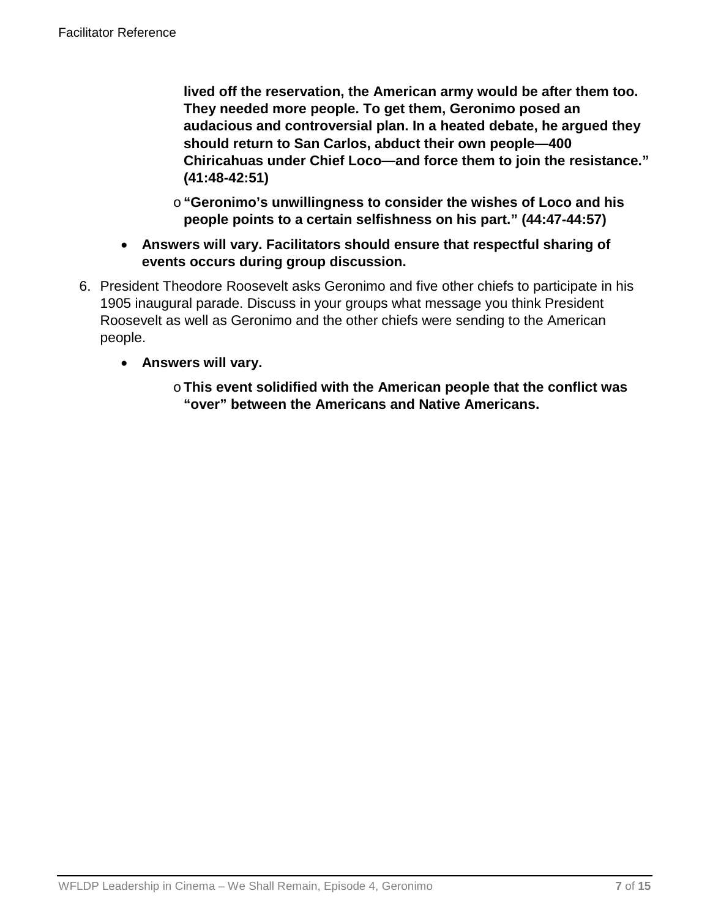**lived off the reservation, the American army would be after them too. They needed more people. To get them, Geronimo posed an audacious and controversial plan. In a heated debate, he argued they should return to San Carlos, abduct their own people—400 Chiricahuas under Chief Loco—and force them to join the resistance." (41:48-42:51)**

- o**"Geronimo's unwillingness to consider the wishes of Loco and his people points to a certain selfishness on his part." (44:47-44:57)**
- **Answers will vary. Facilitators should ensure that respectful sharing of events occurs during group discussion.**
- 6. President Theodore Roosevelt asks Geronimo and five other chiefs to participate in his 1905 inaugural parade. Discuss in your groups what message you think President Roosevelt as well as Geronimo and the other chiefs were sending to the American people.
	- **Answers will vary.**
		- o**This event solidified with the American people that the conflict was "over" between the Americans and Native Americans.**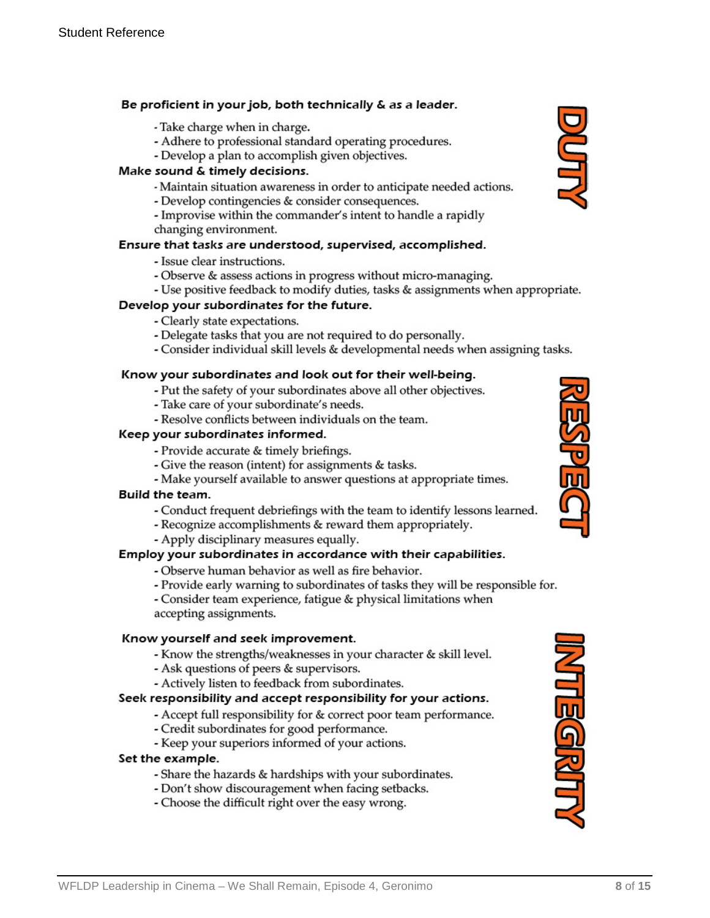#### Be proficient in your job, both technically & as a leader.

- Take charge when in charge.
- Adhere to professional standard operating procedures.
- Develop a plan to accomplish given objectives.

#### Make sound & timely decisions.

- Maintain situation awareness in order to anticipate needed actions.
- Develop contingencies & consider consequences.
- Improvise within the commander's intent to handle a rapidly changing environment.

#### Ensure that tasks are understood, supervised, accomplished.

- Issue clear instructions.
- Observe & assess actions in progress without micro-managing.
- Use positive feedback to modify duties, tasks & assignments when appropriate.

#### Develop your subordinates for the future.

- Clearly state expectations.
- Delegate tasks that you are not required to do personally.
- Consider individual skill levels & developmental needs when assigning tasks.

#### Know your subordinates and look out for their well-being.

- Put the safety of your subordinates above all other objectives.
- Take care of your subordinate's needs.
- Resolve conflicts between individuals on the team.

#### Keep your subordinates informed.

- Provide accurate & timely briefings.
- Give the reason (intent) for assignments & tasks.
- Make yourself available to answer questions at appropriate times.

#### Build the team.

- Conduct frequent debriefings with the team to identify lessons learned.
- Recognize accomplishments & reward them appropriately.
- Apply disciplinary measures equally.

#### Employ your subordinates in accordance with their capabilities.

- Observe human behavior as well as fire behavior.
- Provide early warning to subordinates of tasks they will be responsible for.
- Consider team experience, fatigue & physical limitations when accepting assignments.

#### Know yourself and seek improvement.

- Know the strengths/weaknesses in your character & skill level.
- Ask questions of peers & supervisors.
- Actively listen to feedback from subordinates.

#### Seek responsibility and accept responsibility for your actions.

- Accept full responsibility for & correct poor team performance.
- Credit subordinates for good performance.
- Keep your superiors informed of your actions.

#### Set the example.

- Share the hazards & hardships with your subordinates.
- Don't show discouragement when facing setbacks.
- Choose the difficult right over the easy wrong.





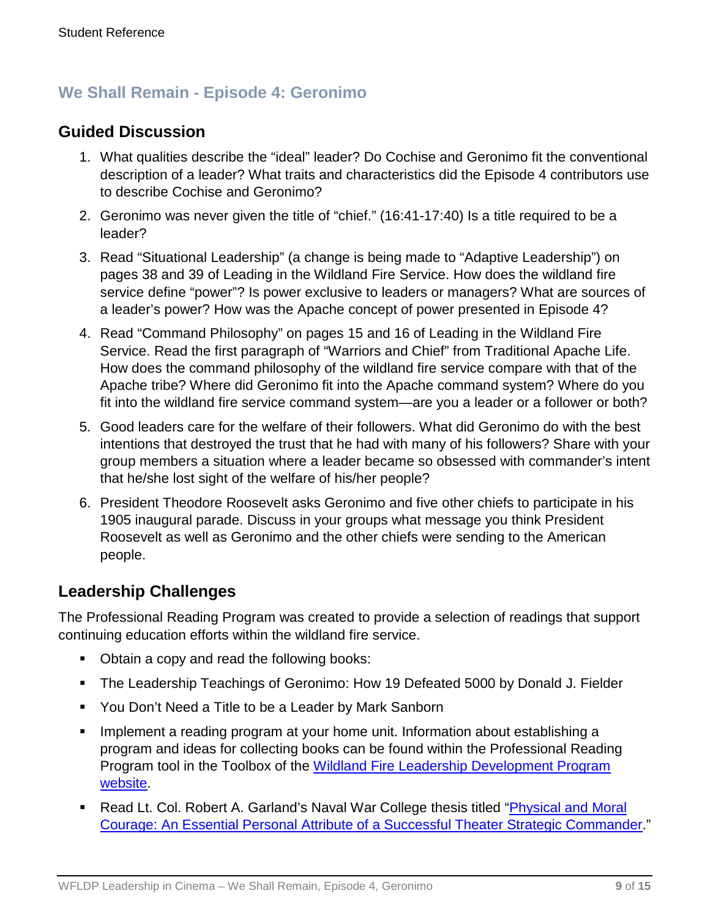### **We Shall Remain - Episode 4: Geronimo**

### **Guided Discussion**

- 1. What qualities describe the "ideal" leader? Do Cochise and Geronimo fit the conventional description of a leader? What traits and characteristics did the Episode 4 contributors use to describe Cochise and Geronimo?
- 2. Geronimo was never given the title of "chief." (16:41-17:40) Is a title required to be a leader?
- 3. Read "Situational Leadership" (a change is being made to "Adaptive Leadership") on pages 38 and 39 of Leading in the Wildland Fire Service. How does the wildland fire service define "power"? Is power exclusive to leaders or managers? What are sources of a leader's power? How was the Apache concept of power presented in Episode 4?
- 4. Read "Command Philosophy" on pages 15 and 16 of Leading in the Wildland Fire Service. Read the first paragraph of "Warriors and Chief" from Traditional Apache Life. How does the command philosophy of the wildland fire service compare with that of the Apache tribe? Where did Geronimo fit into the Apache command system? Where do you fit into the wildland fire service command system—are you a leader or a follower or both?
- 5. Good leaders care for the welfare of their followers. What did Geronimo do with the best intentions that destroyed the trust that he had with many of his followers? Share with your group members a situation where a leader became so obsessed with commander's intent that he/she lost sight of the welfare of his/her people?
- 6. President Theodore Roosevelt asks Geronimo and five other chiefs to participate in his 1905 inaugural parade. Discuss in your groups what message you think President Roosevelt as well as Geronimo and the other chiefs were sending to the American people.

### **Leadership Challenges**

The Professional Reading Program was created to provide a selection of readings that support continuing education efforts within the wildland fire service.

- Obtain a copy and read the following books:
- The Leadership Teachings of Geronimo: How 19 Defeated 5000 by Donald J. Fielder
- You Don't Need a Title to be a Leader by Mark Sanborn
- **IMPLEM** 1 a reading program at your home unit. Information about establishing a program and ideas for collecting books can be found within the Professional Reading Program tool in the Toolbox of the [Wildland Fire Leadership Development Program](https://www.fireleadership.gov/)  [website.](https://www.fireleadership.gov/)
- Read Lt. Col. Robert A. Garland's Naval War College thesis titled "*Physical and Moral* [Courage: An Essential Personal Attribute of a Successful Theater Strategic Commander.](http://www.dtic.mil/cgi-bin/GetTRDoc?AD=ADA494267&Location=U2&doc=GetTRDoc.pdf)"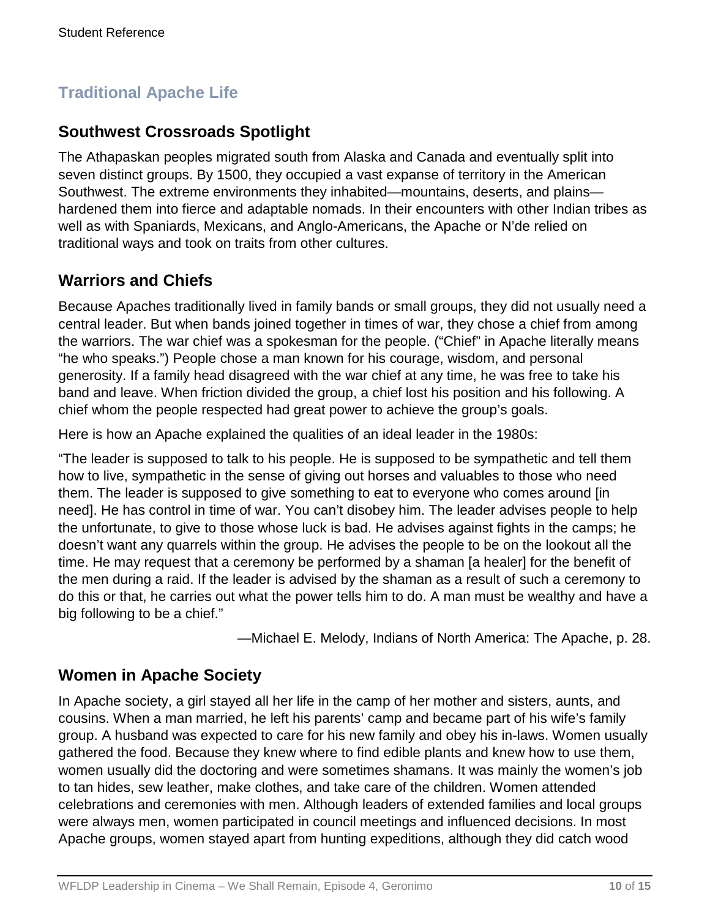# **Traditional Apache Life**

## **Southwest Crossroads Spotlight**

The Athapaskan peoples migrated south from Alaska and Canada and eventually split into seven distinct groups. By 1500, they occupied a vast expanse of territory in the American Southwest. The extreme environments they inhabited—mountains, deserts, and plains hardened them into fierce and adaptable nomads. In their encounters with other Indian tribes as well as with Spaniards, Mexicans, and Anglo-Americans, the Apache or N'de relied on traditional ways and took on traits from other cultures.

### **Warriors and Chiefs**

Because Apaches traditionally lived in family bands or small groups, they did not usually need a central leader. But when bands joined together in times of war, they chose a chief from among the warriors. The war chief was a spokesman for the people. ("Chief" in Apache literally means "he who speaks.") People chose a man known for his courage, wisdom, and personal generosity. If a family head disagreed with the war chief at any time, he was free to take his band and leave. When friction divided the group, a chief lost his position and his following. A chief whom the people respected had great power to achieve the group's goals.

Here is how an Apache explained the qualities of an ideal leader in the 1980s:

"The leader is supposed to talk to his people. He is supposed to be sympathetic and tell them how to live, sympathetic in the sense of giving out horses and valuables to those who need them. The leader is supposed to give something to eat to everyone who comes around [in need]. He has control in time of war. You can't disobey him. The leader advises people to help the unfortunate, to give to those whose luck is bad. He advises against fights in the camps; he doesn't want any quarrels within the group. He advises the people to be on the lookout all the time. He may request that a ceremony be performed by a shaman [a healer] for the benefit of the men during a raid. If the leader is advised by the shaman as a result of such a ceremony to do this or that, he carries out what the power tells him to do. A man must be wealthy and have a big following to be a chief."

—Michael E. Melody, Indians of North America: The Apache, p. 28.

### **Women in Apache Society**

In Apache society, a girl stayed all her life in the camp of her mother and sisters, aunts, and cousins. When a man married, he left his parents' camp and became part of his wife's family group. A husband was expected to care for his new family and obey his in-laws. Women usually gathered the food. Because they knew where to find edible plants and knew how to use them, women usually did the doctoring and were sometimes shamans. It was mainly the women's job to tan hides, sew leather, make clothes, and take care of the children. Women attended celebrations and ceremonies with men. Although leaders of extended families and local groups were always men, women participated in council meetings and influenced decisions. In most Apache groups, women stayed apart from hunting expeditions, although they did catch wood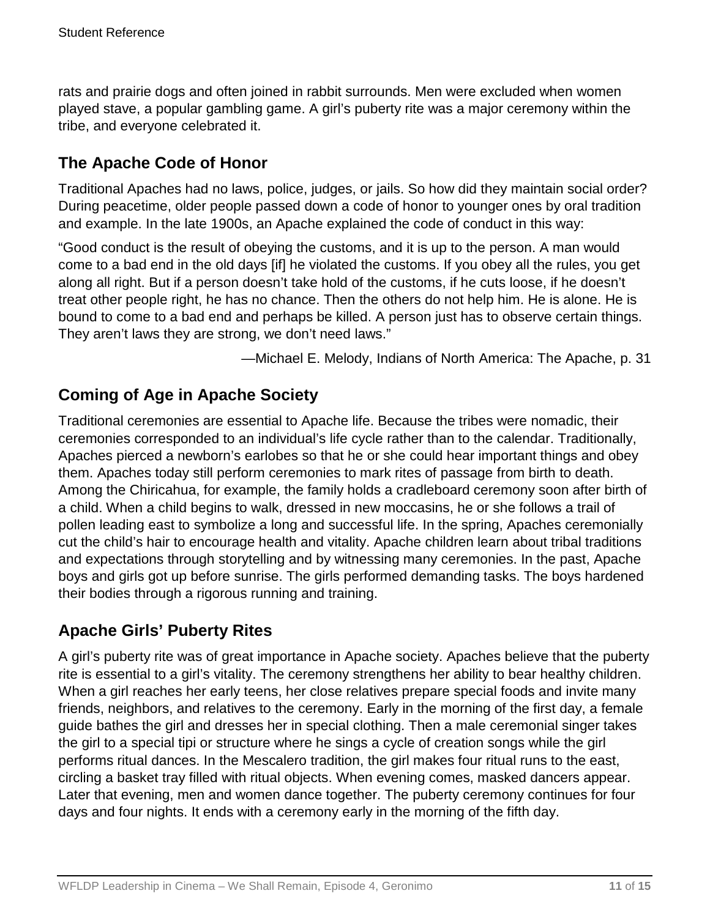rats and prairie dogs and often joined in rabbit surrounds. Men were excluded when women played stave, a popular gambling game. A girl's puberty rite was a major ceremony within the tribe, and everyone celebrated it.

## **The Apache Code of Honor**

Traditional Apaches had no laws, police, judges, or jails. So how did they maintain social order? During peacetime, older people passed down a code of honor to younger ones by oral tradition and example. In the late 1900s, an Apache explained the code of conduct in this way:

"Good conduct is the result of obeying the customs, and it is up to the person. A man would come to a bad end in the old days [if] he violated the customs. If you obey all the rules, you get along all right. But if a person doesn't take hold of the customs, if he cuts loose, if he doesn't treat other people right, he has no chance. Then the others do not help him. He is alone. He is bound to come to a bad end and perhaps be killed. A person just has to observe certain things. They aren't laws they are strong, we don't need laws."

—Michael E. Melody, Indians of North America: The Apache, p. 31

## **Coming of Age in Apache Society**

Traditional ceremonies are essential to Apache life. Because the tribes were nomadic, their ceremonies corresponded to an individual's life cycle rather than to the calendar. Traditionally, Apaches pierced a newborn's earlobes so that he or she could hear important things and obey them. Apaches today still perform ceremonies to mark rites of passage from birth to death. Among the Chiricahua, for example, the family holds a cradleboard ceremony soon after birth of a child. When a child begins to walk, dressed in new moccasins, he or she follows a trail of pollen leading east to symbolize a long and successful life. In the spring, Apaches ceremonially cut the child's hair to encourage health and vitality. Apache children learn about tribal traditions and expectations through storytelling and by witnessing many ceremonies. In the past, Apache boys and girls got up before sunrise. The girls performed demanding tasks. The boys hardened their bodies through a rigorous running and training.

# **Apache Girls' Puberty Rites**

A girl's puberty rite was of great importance in Apache society. Apaches believe that the puberty rite is essential to a girl's vitality. The ceremony strengthens her ability to bear healthy children. When a girl reaches her early teens, her close relatives prepare special foods and invite many friends, neighbors, and relatives to the ceremony. Early in the morning of the first day, a female guide bathes the girl and dresses her in special clothing. Then a male ceremonial singer takes the girl to a special tipi or structure where he sings a cycle of creation songs while the girl performs ritual dances. In the Mescalero tradition, the girl makes four ritual runs to the east, circling a basket tray filled with ritual objects. When evening comes, masked dancers appear. Later that evening, men and women dance together. The puberty ceremony continues for four days and four nights. It ends with a ceremony early in the morning of the fifth day.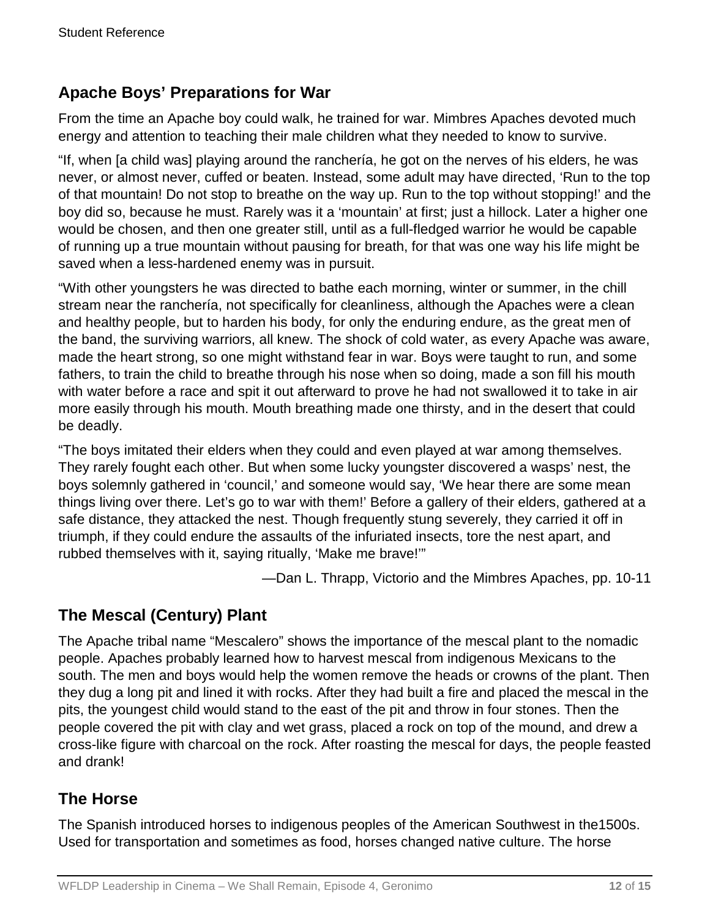## **Apache Boys' Preparations for War**

From the time an Apache boy could walk, he trained for war. Mimbres Apaches devoted much energy and attention to teaching their male children what they needed to know to survive.

"If, when [a child was] playing around the ranchería, he got on the nerves of his elders, he was never, or almost never, cuffed or beaten. Instead, some adult may have directed, 'Run to the top of that mountain! Do not stop to breathe on the way up. Run to the top without stopping!' and the boy did so, because he must. Rarely was it a 'mountain' at first; just a hillock. Later a higher one would be chosen, and then one greater still, until as a full-fledged warrior he would be capable of running up a true mountain without pausing for breath, for that was one way his life might be saved when a less-hardened enemy was in pursuit.

"With other youngsters he was directed to bathe each morning, winter or summer, in the chill stream near the ranchería, not specifically for cleanliness, although the Apaches were a clean and healthy people, but to harden his body, for only the enduring endure, as the great men of the band, the surviving warriors, all knew. The shock of cold water, as every Apache was aware, made the heart strong, so one might withstand fear in war. Boys were taught to run, and some fathers, to train the child to breathe through his nose when so doing, made a son fill his mouth with water before a race and spit it out afterward to prove he had not swallowed it to take in air more easily through his mouth. Mouth breathing made one thirsty, and in the desert that could be deadly.

"The boys imitated their elders when they could and even played at war among themselves. They rarely fought each other. But when some lucky youngster discovered a wasps' nest, the boys solemnly gathered in 'council,' and someone would say, 'We hear there are some mean things living over there. Let's go to war with them!' Before a gallery of their elders, gathered at a safe distance, they attacked the nest. Though frequently stung severely, they carried it off in triumph, if they could endure the assaults of the infuriated insects, tore the nest apart, and rubbed themselves with it, saying ritually, 'Make me brave!'"

—Dan L. Thrapp, Victorio and the Mimbres Apaches, pp. 10-11

# **The Mescal (Century) Plant**

The Apache tribal name "Mescalero" shows the importance of the mescal plant to the nomadic people. Apaches probably learned how to harvest mescal from indigenous Mexicans to the south. The men and boys would help the women remove the heads or crowns of the plant. Then they dug a long pit and lined it with rocks. After they had built a fire and placed the mescal in the pits, the youngest child would stand to the east of the pit and throw in four stones. Then the people covered the pit with clay and wet grass, placed a rock on top of the mound, and drew a cross-like figure with charcoal on the rock. After roasting the mescal for days, the people feasted and drank!

# **The Horse**

The Spanish introduced horses to indigenous peoples of the American Southwest in the1500s. Used for transportation and sometimes as food, horses changed native culture. The horse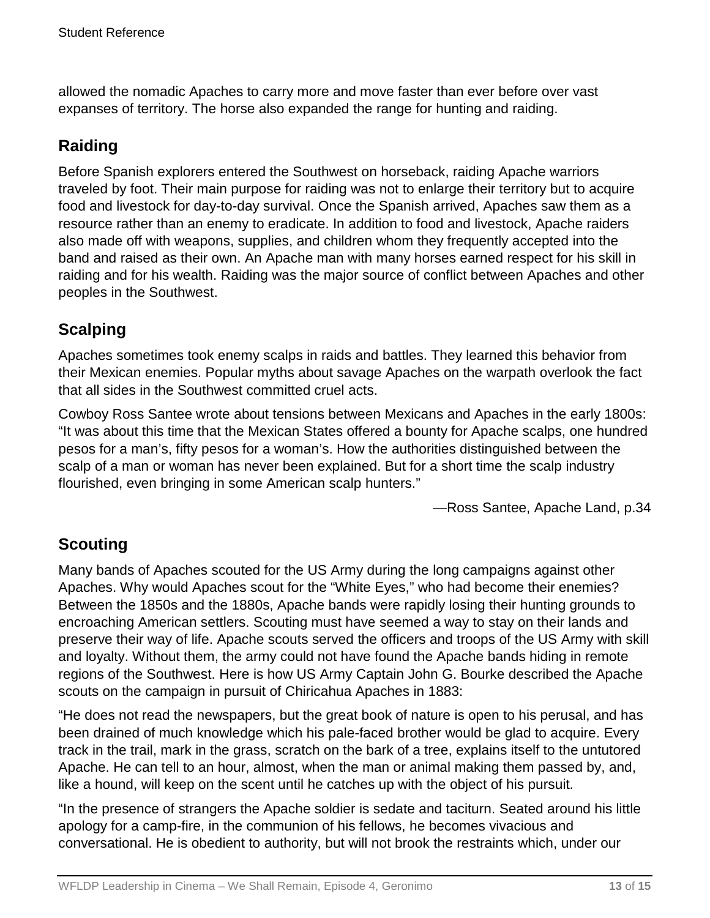allowed the nomadic Apaches to carry more and move faster than ever before over vast expanses of territory. The horse also expanded the range for hunting and raiding.

# **Raiding**

Before Spanish explorers entered the Southwest on horseback, raiding Apache warriors traveled by foot. Their main purpose for raiding was not to enlarge their territory but to acquire food and livestock for day-to-day survival. Once the Spanish arrived, Apaches saw them as a resource rather than an enemy to eradicate. In addition to food and livestock, Apache raiders also made off with weapons, supplies, and children whom they frequently accepted into the band and raised as their own. An Apache man with many horses earned respect for his skill in raiding and for his wealth. Raiding was the major source of conflict between Apaches and other peoples in the Southwest.

# **Scalping**

Apaches sometimes took enemy scalps in raids and battles. They learned this behavior from their Mexican enemies. Popular myths about savage Apaches on the warpath overlook the fact that all sides in the Southwest committed cruel acts.

Cowboy Ross Santee wrote about tensions between Mexicans and Apaches in the early 1800s: "It was about this time that the Mexican States offered a bounty for Apache scalps, one hundred pesos for a man's, fifty pesos for a woman's. How the authorities distinguished between the scalp of a man or woman has never been explained. But for a short time the scalp industry flourished, even bringing in some American scalp hunters."

—Ross Santee, Apache Land, p.34

### **Scouting**

Many bands of Apaches scouted for the US Army during the long campaigns against other Apaches. Why would Apaches scout for the "White Eyes," who had become their enemies? Between the 1850s and the 1880s, Apache bands were rapidly losing their hunting grounds to encroaching American settlers. Scouting must have seemed a way to stay on their lands and preserve their way of life. Apache scouts served the officers and troops of the US Army with skill and loyalty. Without them, the army could not have found the Apache bands hiding in remote regions of the Southwest. Here is how US Army Captain John G. Bourke described the Apache scouts on the campaign in pursuit of Chiricahua Apaches in 1883:

"He does not read the newspapers, but the great book of nature is open to his perusal, and has been drained of much knowledge which his pale-faced brother would be glad to acquire. Every track in the trail, mark in the grass, scratch on the bark of a tree, explains itself to the untutored Apache. He can tell to an hour, almost, when the man or animal making them passed by, and, like a hound, will keep on the scent until he catches up with the object of his pursuit.

"In the presence of strangers the Apache soldier is sedate and taciturn. Seated around his little apology for a camp-fire, in the communion of his fellows, he becomes vivacious and conversational. He is obedient to authority, but will not brook the restraints which, under our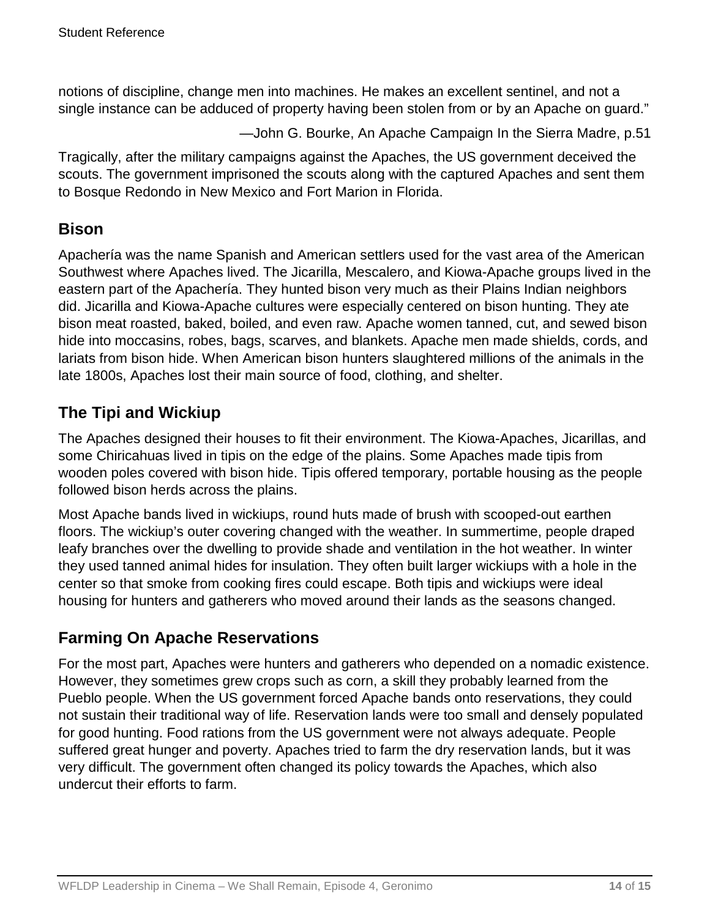notions of discipline, change men into machines. He makes an excellent sentinel, and not a single instance can be adduced of property having been stolen from or by an Apache on guard."

—John G. Bourke, An Apache Campaign In the Sierra Madre, p.51

Tragically, after the military campaigns against the Apaches, the US government deceived the scouts. The government imprisoned the scouts along with the captured Apaches and sent them to Bosque Redondo in New Mexico and Fort Marion in Florida.

### **Bison**

Apachería was the name Spanish and American settlers used for the vast area of the American Southwest where Apaches lived. The Jicarilla, Mescalero, and Kiowa-Apache groups lived in the eastern part of the Apachería. They hunted bison very much as their Plains Indian neighbors did. Jicarilla and Kiowa-Apache cultures were especially centered on bison hunting. They ate bison meat roasted, baked, boiled, and even raw. Apache women tanned, cut, and sewed bison hide into moccasins, robes, bags, scarves, and blankets. Apache men made shields, cords, and lariats from bison hide. When American bison hunters slaughtered millions of the animals in the late 1800s, Apaches lost their main source of food, clothing, and shelter.

## **The Tipi and Wickiup**

The Apaches designed their houses to fit their environment. The Kiowa-Apaches, Jicarillas, and some Chiricahuas lived in tipis on the edge of the plains. Some Apaches made tipis from wooden poles covered with bison hide. Tipis offered temporary, portable housing as the people followed bison herds across the plains.

Most Apache bands lived in wickiups, round huts made of brush with scooped-out earthen floors. The wickiup's outer covering changed with the weather. In summertime, people draped leafy branches over the dwelling to provide shade and ventilation in the hot weather. In winter they used tanned animal hides for insulation. They often built larger wickiups with a hole in the center so that smoke from cooking fires could escape. Both tipis and wickiups were ideal housing for hunters and gatherers who moved around their lands as the seasons changed.

### **Farming On Apache Reservations**

For the most part, Apaches were hunters and gatherers who depended on a nomadic existence. However, they sometimes grew crops such as corn, a skill they probably learned from the Pueblo people. When the US government forced Apache bands onto reservations, they could not sustain their traditional way of life. Reservation lands were too small and densely populated for good hunting. Food rations from the US government were not always adequate. People suffered great hunger and poverty. Apaches tried to farm the dry reservation lands, but it was very difficult. The government often changed its policy towards the Apaches, which also undercut their efforts to farm.